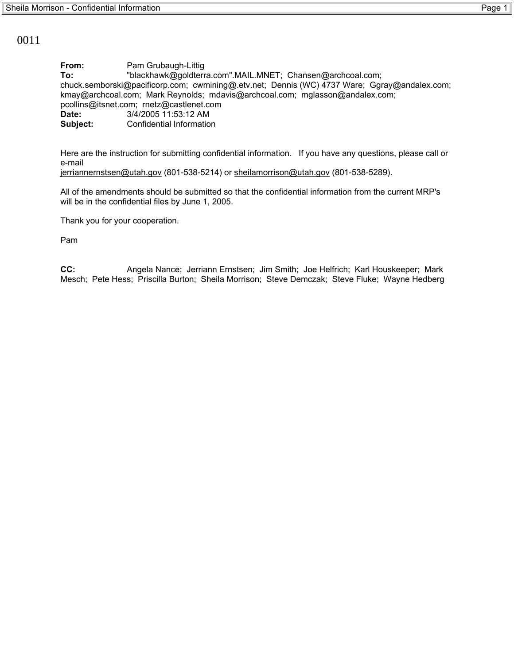## 0011

**From:** Pam Grubaugh-Littig **To:** "blackhawk@goldterra.com".MAIL.MNET; Chansen@archcoal.com; chuck.semborski@pacificorp.com; cwmining@.etv.net; Dennis (WC) 4737 Ware; Ggray@andalex.com; kmay@archcoal.com; Mark Reynolds; mdavis@archcoal.com; mglasson@andalex.com; pcollins@itsnet.com; rnetz@castlenet.com **Date:** 3/4/2005 11:53:12 AM **Subject:** Confidential Information

Here are the instruction for submitting confidential information. If you have any questions, please call or e-mail

jerriannernstsen@utah.gov (801-538-5214) or sheilamorrison@utah.gov (801-538-5289).

All of the amendments should be submitted so that the confidential information from the current MRP's will be in the confidential files by June 1, 2005.

Thank you for your cooperation.

Pam

**CC:** Angela Nance; Jerriann Ernstsen; Jim Smith; Joe Helfrich; Karl Houskeeper; Mark Mesch; Pete Hess; Priscilla Burton; Sheila Morrison; Steve Demczak; Steve Fluke; Wayne Hedberg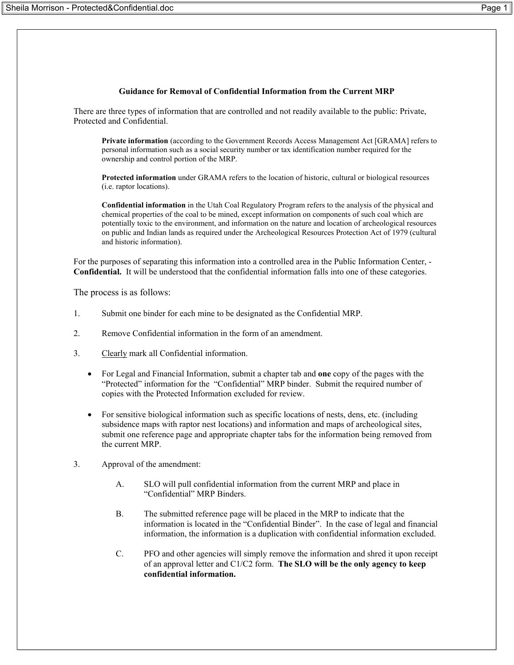## **Guidance for Removal of Confidential Information from the Current MRP**

There are three types of information that are controlled and not readily available to the public: Private, Protected and Confidential.

**Private information** (according to the Government Records Access Management Act [GRAMA] refers to personal information such as a social security number or tax identification number required for the ownership and control portion of the MRP.

**Protected information** under GRAMA refers to the location of historic, cultural or biological resources (i.e. raptor locations).

**Confidential information** in the Utah Coal Regulatory Program refers to the analysis of the physical and chemical properties of the coal to be mined, except information on components of such coal which are potentially toxic to the environment, and information on the nature and location of archeological resources on public and Indian lands as required under the Archeological Resources Protection Act of 1979 (cultural and historic information).

For the purposes of separating this information into a controlled area in the Public Information Center, - **Confidential.** It will be understood that the confidential information falls into one of these categories.

The process is as follows:

- 1. Submit one binder for each mine to be designated as the Confidential MRP.
- 2. Remove Confidential information in the form of an amendment.
- 3. Clearly mark all Confidential information.
	- For Legal and Financial Information, submit a chapter tab and **one** copy of the pages with the "Protected" information for the "Confidential" MRP binder. Submit the required number of copies with the Protected Information excluded for review.
	- For sensitive biological information such as specific locations of nests, dens, etc. (including subsidence maps with raptor nest locations) and information and maps of archeological sites, submit one reference page and appropriate chapter tabs for the information being removed from the current MRP.
- 3. Approval of the amendment:
	- A. SLO will pull confidential information from the current MRP and place in "Confidential" MRP Binders.
	- B. The submitted reference page will be placed in the MRP to indicate that the information is located in the "Confidential Binder". In the case of legal and financial information, the information is a duplication with confidential information excluded.
	- C. PFO and other agencies will simply remove the information and shred it upon receipt of an approval letter and C1/C2 form. **The SLO will be the only agency to keep confidential information.**